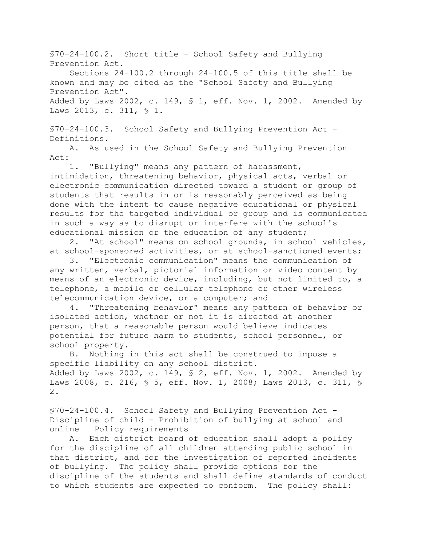§70-24-100.2. Short title - School Safety and Bullying Prevention Act.

Sections 24-100.2 through 24-100.5 of this title shall be known and may be cited as the "School Safety and Bullying Prevention Act". Added by Laws 2002, c. 149, § 1, eff. Nov. 1, 2002. Amended by Laws 2013, c. 311, § 1.

§70-24-100.3. School Safety and Bullying Prevention Act - Definitions.

A. As used in the School Safety and Bullying Prevention Act:

1. "Bullying" means any pattern of harassment, intimidation, threatening behavior, physical acts, verbal or electronic communication directed toward a student or group of students that results in or is reasonably perceived as being done with the intent to cause negative educational or physical results for the targeted individual or group and is communicated in such a way as to disrupt or interfere with the school's educational mission or the education of any student;

2. "At school" means on school grounds, in school vehicles, at school-sponsored activities, or at school-sanctioned events;

3. "Electronic communication" means the communication of any written, verbal, pictorial information or video content by means of an electronic device, including, but not limited to, a telephone, a mobile or cellular telephone or other wireless telecommunication device, or a computer; and

4. "Threatening behavior" means any pattern of behavior or isolated action, whether or not it is directed at another person, that a reasonable person would believe indicates potential for future harm to students, school personnel, or school property.

B. Nothing in this act shall be construed to impose a specific liability on any school district. Added by Laws 2002, c. 149,  $\S$  2, eff. Nov. 1, 2002. Amended by Laws 2008, c. 216, § 5, eff. Nov. 1, 2008; Laws 2013, c. 311, § 2.

§70-24-100.4. School Safety and Bullying Prevention Act -Discipline of child - Prohibition of bullying at school and online – Policy requirements

A. Each district board of education shall adopt a policy for the discipline of all children attending public school in that district, and for the investigation of reported incidents of bullying. The policy shall provide options for the discipline of the students and shall define standards of conduct to which students are expected to conform. The policy shall: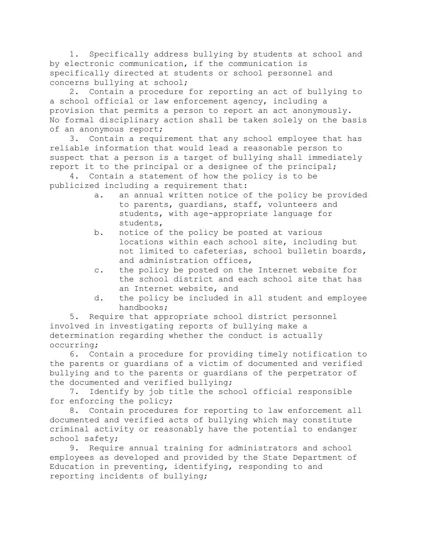1. Specifically address bullying by students at school and by electronic communication, if the communication is specifically directed at students or school personnel and concerns bullying at school;

2. Contain a procedure for reporting an act of bullying to a school official or law enforcement agency, including a provision that permits a person to report an act anonymously. No formal disciplinary action shall be taken solely on the basis of an anonymous report;

3. Contain a requirement that any school employee that has reliable information that would lead a reasonable person to suspect that a person is a target of bullying shall immediately report it to the principal or a designee of the principal;

4. Contain a statement of how the policy is to be publicized including a requirement that:

- a. an annual written notice of the policy be provided to parents, guardians, staff, volunteers and students, with age-appropriate language for students,
- b. notice of the policy be posted at various locations within each school site, including but not limited to cafeterias, school bulletin boards, and administration offices,
- c. the policy be posted on the Internet website for the school district and each school site that has an Internet website, and
- d. the policy be included in all student and employee handbooks;

5. Require that appropriate school district personnel involved in investigating reports of bullying make a determination regarding whether the conduct is actually occurring;

6. Contain a procedure for providing timely notification to the parents or guardians of a victim of documented and verified bullying and to the parents or guardians of the perpetrator of the documented and verified bullying;

7. Identify by job title the school official responsible for enforcing the policy;

8. Contain procedures for reporting to law enforcement all documented and verified acts of bullying which may constitute criminal activity or reasonably have the potential to endanger school safety;

9. Require annual training for administrators and school employees as developed and provided by the State Department of Education in preventing, identifying, responding to and reporting incidents of bullying;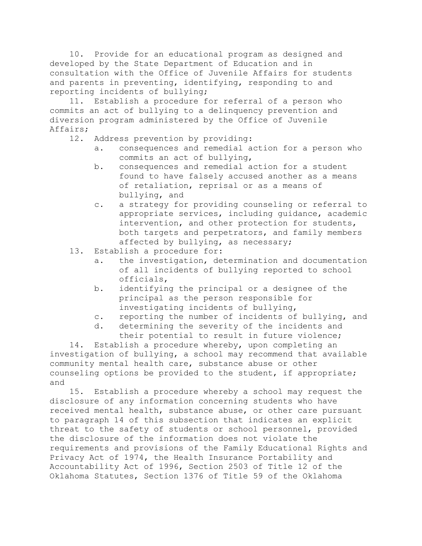10. Provide for an educational program as designed and developed by the State Department of Education and in consultation with the Office of Juvenile Affairs for students and parents in preventing, identifying, responding to and reporting incidents of bullying;

11. Establish a procedure for referral of a person who commits an act of bullying to a delinquency prevention and diversion program administered by the Office of Juvenile Affairs;

- 12. Address prevention by providing:
	- a. consequences and remedial action for a person who commits an act of bullying,
	- b. consequences and remedial action for a student found to have falsely accused another as a means of retaliation, reprisal or as a means of bullying, and
	- c. a strategy for providing counseling or referral to appropriate services, including guidance, academic intervention, and other protection for students, both targets and perpetrators, and family members affected by bullying, as necessary;
- 13. Establish a procedure for:
	- a. the investigation, determination and documentation of all incidents of bullying reported to school officials,
	- b. identifying the principal or a designee of the principal as the person responsible for investigating incidents of bullying,
	- c. reporting the number of incidents of bullying, and
	- d. determining the severity of the incidents and their potential to result in future violence;

14. Establish a procedure whereby, upon completing an investigation of bullying, a school may recommend that available community mental health care, substance abuse or other counseling options be provided to the student, if appropriate; and

15. Establish a procedure whereby a school may request the disclosure of any information concerning students who have received mental health, substance abuse, or other care pursuant to paragraph 14 of this subsection that indicates an explicit threat to the safety of students or school personnel, provided the disclosure of the information does not violate the requirements and provisions of the Family Educational Rights and Privacy Act of 1974, the Health Insurance Portability and Accountability Act of 1996, Section 2503 of Title 12 of the Oklahoma Statutes, Section 1376 of Title 59 of the Oklahoma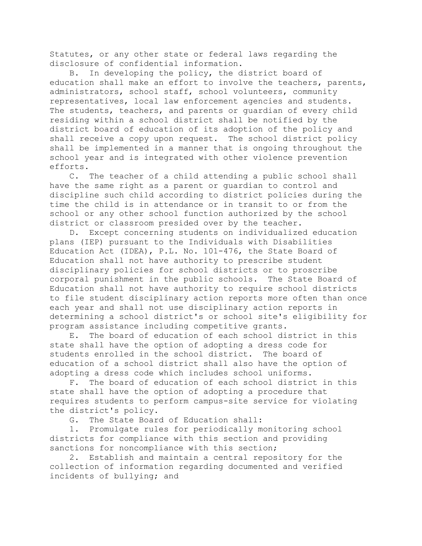Statutes, or any other state or federal laws regarding the disclosure of confidential information.

B. In developing the policy, the district board of education shall make an effort to involve the teachers, parents, administrators, school staff, school volunteers, community representatives, local law enforcement agencies and students. The students, teachers, and parents or guardian of every child residing within a school district shall be notified by the district board of education of its adoption of the policy and shall receive a copy upon request. The school district policy shall be implemented in a manner that is ongoing throughout the school year and is integrated with other violence prevention efforts.

C. The teacher of a child attending a public school shall have the same right as a parent or guardian to control and discipline such child according to district policies during the time the child is in attendance or in transit to or from the school or any other school function authorized by the school district or classroom presided over by the teacher.

D. Except concerning students on individualized education plans (IEP) pursuant to the Individuals with Disabilities Education Act (IDEA), P.L. No. 101-476, the State Board of Education shall not have authority to prescribe student disciplinary policies for school districts or to proscribe corporal punishment in the public schools. The State Board of Education shall not have authority to require school districts to file student disciplinary action reports more often than once each year and shall not use disciplinary action reports in determining a school district's or school site's eligibility for program assistance including competitive grants.

E. The board of education of each school district in this state shall have the option of adopting a dress code for students enrolled in the school district. The board of education of a school district shall also have the option of adopting a dress code which includes school uniforms.

F. The board of education of each school district in this state shall have the option of adopting a procedure that requires students to perform campus-site service for violating the district's policy.

G. The State Board of Education shall:

1. Promulgate rules for periodically monitoring school districts for compliance with this section and providing sanctions for noncompliance with this section;

2. Establish and maintain a central repository for the collection of information regarding documented and verified incidents of bullying; and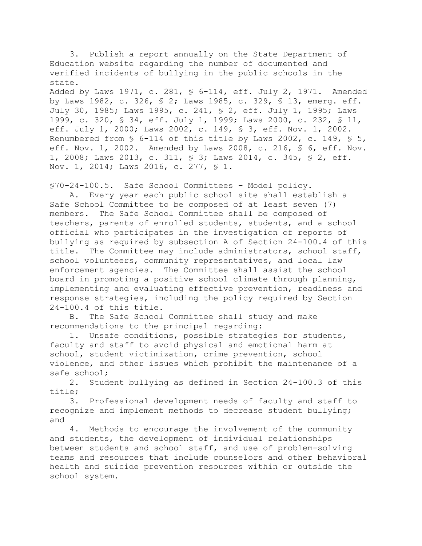3. Publish a report annually on the State Department of Education website regarding the number of documented and verified incidents of bullying in the public schools in the state. Added by Laws 1971, c. 281, § 6-114, eff. July 2, 1971. Amended by Laws 1982, c. 326, § 2; Laws 1985, c. 329, § 13, emerg. eff. July 30, 1985; Laws 1995, c. 241, § 2, eff. July 1, 1995; Laws 1999, c. 320, § 34, eff. July 1, 1999; Laws 2000, c. 232, § 11, eff. July 1, 2000; Laws 2002, c. 149, § 3, eff. Nov. 1, 2002. Renumbered from § 6-114 of this title by Laws 2002, c. 149, § 5, eff. Nov. 1, 2002. Amended by Laws 2008, c. 216, § 6, eff. Nov. 1, 2008; Laws 2013, c. 311, § 3; Laws 2014, c. 345, § 2, eff. Nov. 1, 2014; Laws 2016, c. 277, § 1.

§70-24-100.5. Safe School Committees – Model policy.

A. Every year each public school site shall establish a Safe School Committee to be composed of at least seven (7) members. The Safe School Committee shall be composed of teachers, parents of enrolled students, students, and a school official who participates in the investigation of reports of bullying as required by subsection A of Section 24-100.4 of this title. The Committee may include administrators, school staff, school volunteers, community representatives, and local law enforcement agencies. The Committee shall assist the school board in promoting a positive school climate through planning, implementing and evaluating effective prevention, readiness and response strategies, including the policy required by Section 24-100.4 of this title.

B. The Safe School Committee shall study and make recommendations to the principal regarding:

1. Unsafe conditions, possible strategies for students, faculty and staff to avoid physical and emotional harm at school, student victimization, crime prevention, school violence, and other issues which prohibit the maintenance of a safe school;

2. Student bullying as defined in Section 24-100.3 of this title;

3. Professional development needs of faculty and staff to recognize and implement methods to decrease student bullying; and

4. Methods to encourage the involvement of the community and students, the development of individual relationships between students and school staff, and use of problem-solving teams and resources that include counselors and other behavioral health and suicide prevention resources within or outside the school system.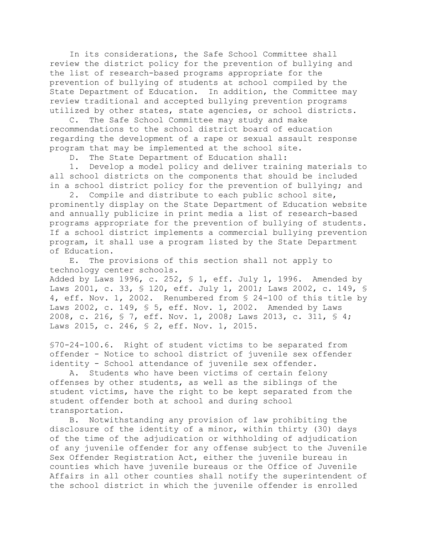In its considerations, the Safe School Committee shall review the district policy for the prevention of bullying and the list of research-based programs appropriate for the prevention of bullying of students at school compiled by the State Department of Education. In addition, the Committee may review traditional and accepted bullying prevention programs utilized by other states, state agencies, or school districts.

C. The Safe School Committee may study and make recommendations to the school district board of education regarding the development of a rape or sexual assault response program that may be implemented at the school site.

D. The State Department of Education shall:

1. Develop a model policy and deliver training materials to all school districts on the components that should be included in a school district policy for the prevention of bullying; and

2. Compile and distribute to each public school site, prominently display on the State Department of Education website and annually publicize in print media a list of research-based programs appropriate for the prevention of bullying of students. If a school district implements a commercial bullying prevention program, it shall use a program listed by the State Department of Education.

E. The provisions of this section shall not apply to technology center schools. Added by Laws 1996, c. 252,  $\frac{1}{2}$  eff. July 1, 1996. Amended by Laws 2001, c. 33, § 120, eff. July 1, 2001; Laws 2002, c. 149, § 4, eff. Nov. 1, 2002. Renumbered from § 24-100 of this title by Laws 2002, c. 149, § 5, eff. Nov. 1, 2002. Amended by Laws 2008, c. 216, § 7, eff. Nov. 1, 2008; Laws 2013, c. 311, § 4; Laws 2015, c. 246, § 2, eff. Nov. 1, 2015.

§70-24-100.6. Right of student victims to be separated from offender - Notice to school district of juvenile sex offender identity - School attendance of juvenile sex offender.

A. Students who have been victims of certain felony offenses by other students, as well as the siblings of the student victims, have the right to be kept separated from the student offender both at school and during school transportation.

B. Notwithstanding any provision of law prohibiting the disclosure of the identity of a minor, within thirty (30) days of the time of the adjudication or withholding of adjudication of any juvenile offender for any offense subject to the Juvenile Sex Offender Registration Act, either the juvenile bureau in counties which have juvenile bureaus or the Office of Juvenile Affairs in all other counties shall notify the superintendent of the school district in which the juvenile offender is enrolled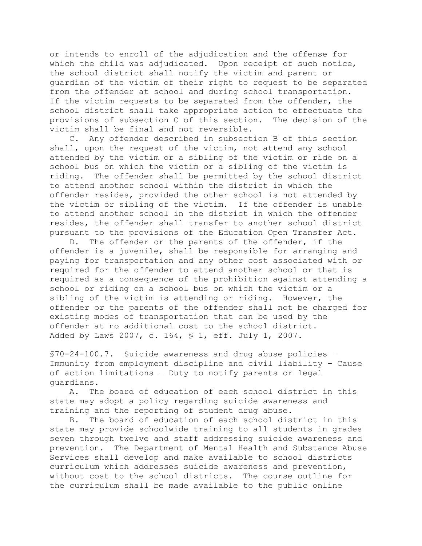or intends to enroll of the adjudication and the offense for which the child was adjudicated. Upon receipt of such notice, the school district shall notify the victim and parent or guardian of the victim of their right to request to be separated from the offender at school and during school transportation. If the victim requests to be separated from the offender, the school district shall take appropriate action to effectuate the provisions of subsection C of this section. The decision of the victim shall be final and not reversible.

C. Any offender described in subsection B of this section shall, upon the request of the victim, not attend any school attended by the victim or a sibling of the victim or ride on a school bus on which the victim or a sibling of the victim is riding. The offender shall be permitted by the school district to attend another school within the district in which the offender resides, provided the other school is not attended by the victim or sibling of the victim. If the offender is unable to attend another school in the district in which the offender resides, the offender shall transfer to another school district pursuant to the provisions of the Education Open Transfer Act.

D. The offender or the parents of the offender, if the offender is a juvenile, shall be responsible for arranging and paying for transportation and any other cost associated with or required for the offender to attend another school or that is required as a consequence of the prohibition against attending a school or riding on a school bus on which the victim or a sibling of the victim is attending or riding. However, the offender or the parents of the offender shall not be charged for existing modes of transportation that can be used by the offender at no additional cost to the school district. Added by Laws 2007, c. 164, § 1, eff. July 1, 2007.

§70-24-100.7. Suicide awareness and drug abuse policies – Immunity from employment discipline and civil liability – Cause of action limitations – Duty to notify parents or legal guardians.

A. The board of education of each school district in this state may adopt a policy regarding suicide awareness and training and the reporting of student drug abuse.

B. The board of education of each school district in this state may provide schoolwide training to all students in grades seven through twelve and staff addressing suicide awareness and prevention. The Department of Mental Health and Substance Abuse Services shall develop and make available to school districts curriculum which addresses suicide awareness and prevention, without cost to the school districts. The course outline for the curriculum shall be made available to the public online